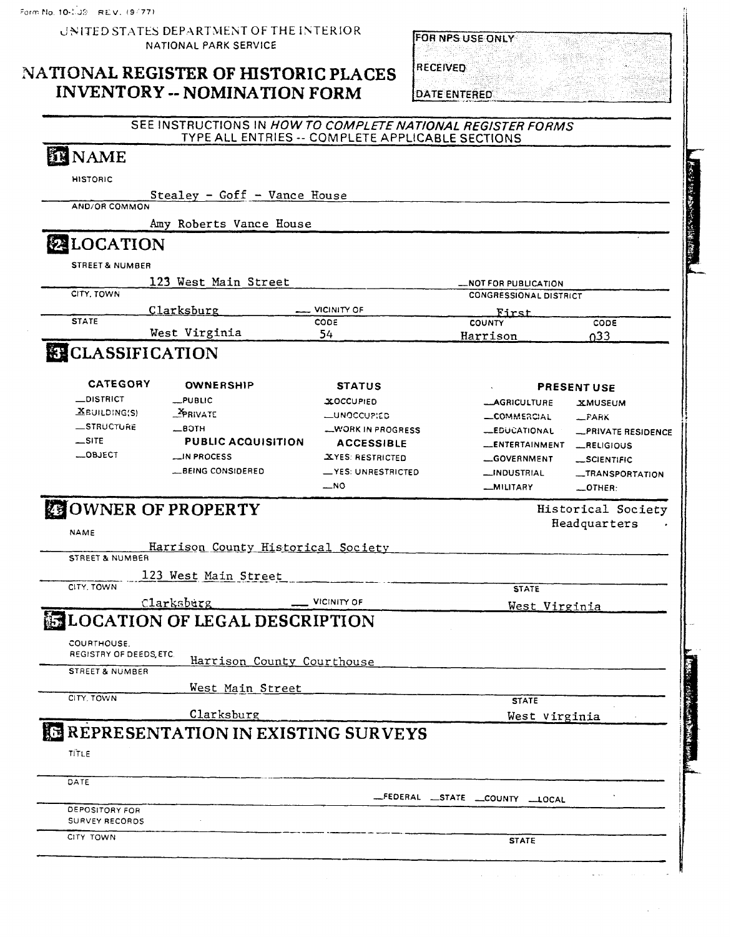|                                          | UNITED STATES DEPARTMENT OF THE INTERIOR<br><b>NATIONAL PARK SERVICE</b>                                        |                             | FOR NPS USE ONLY                       |                                    |
|------------------------------------------|-----------------------------------------------------------------------------------------------------------------|-----------------------------|----------------------------------------|------------------------------------|
|                                          | NATIONAL REGISTER OF HISTORIC PLACES<br><b>INVENTORY -- NOMINATION FORM</b>                                     |                             | <b>RECEIVED</b><br><b>DATE ENTERED</b> |                                    |
|                                          | SEE INSTRUCTIONS IN HOW TO COMPLETE NATIONAL REGISTER FORMS<br>TYPE ALL ENTRIES -- COMPLETE APPLICABLE SECTIONS |                             |                                        |                                    |
| <b>EN NAME</b>                           |                                                                                                                 |                             |                                        |                                    |
| <b>HISTORIC</b>                          |                                                                                                                 |                             |                                        |                                    |
|                                          | Stealey - Goff - Vance House                                                                                    |                             |                                        |                                    |
| AND/OR COMMON                            |                                                                                                                 |                             |                                        |                                    |
|                                          | Amy Roberts Vance House                                                                                         |                             |                                        |                                    |
| <b>EXELOCATION</b>                       |                                                                                                                 |                             |                                        |                                    |
| STREET & NUMBER                          |                                                                                                                 |                             |                                        |                                    |
|                                          | 123 West Main Street                                                                                            |                             | <b>LNOT FOR PUBLICATION</b>            |                                    |
| CITY, TOWN                               |                                                                                                                 |                             | <b>CONGRESSIONAL DISTRICT</b>          |                                    |
|                                          | Clarksburg                                                                                                      | <b>VICINITY OF</b>          | First                                  |                                    |
| <b>STATE</b>                             | West Virginia                                                                                                   | CODE<br>54                  | <b>COUNTY</b><br>Harrison              | CODE<br>0 <sup>33</sup>            |
| <b>ELASSIFICATION</b><br><b>CATEGORY</b> | <b>OWNERSHIP</b>                                                                                                | <b>STATUS</b>               |                                        | <b>PRESENT USE</b>                 |
| <b>_DISTRICT</b>                         | $L$ PUBLIC                                                                                                      | <b>XOCCUPIED</b>            | <b>__AGRICULTURE</b>                   | <b>XMUSEUM</b>                     |
| $X$ BUILDING(S)                          | PRIVATE                                                                                                         | <b>LUNOCCUPIED</b>          | <b>LOMMERCIAL</b>                      | $-PARK$                            |
| <b>STRUCTURE</b>                         | —вотн                                                                                                           | WORK IN PROGRESS            | <b>__EDUCATIONAL</b>                   | <b>PRIVATE RESIDENCE</b>           |
| $\equiv$ SITE                            | <b>PUBLIC ACQUISITION</b>                                                                                       | <b>ACCESSIBLE</b>           | _ENTERTAINMENT _RELIGIOUS              |                                    |
| —ОВЈЕСТ                                  | <b>__IN PROCESS</b>                                                                                             | XYES: RESTRICTED            | GOVERNMENT                             | $\_$ SCIENTIFIC                    |
|                                          | <b>LBEING CONSIDERED</b>                                                                                        | -YES: UNRESTRICTED          | <b>__INDUSTRIAL</b>                    | <b>_TRANSPORTATION</b>             |
|                                          |                                                                                                                 | $\overline{\phantom{1}}$ NO | _MILITARY                              | $-$ OTHER:                         |
| <b>NAME</b>                              | <b>ZOWNER OF PROPERTY</b>                                                                                       |                             |                                        | Historical Society<br>Headquarters |
|                                          | <u>Harrison County Historical Society</u>                                                                       |                             |                                        |                                    |
| STREET & NUMBER                          |                                                                                                                 |                             |                                        |                                    |
|                                          | 123 West Main Street                                                                                            |                             |                                        |                                    |
| CITY, TOWN                               |                                                                                                                 |                             | <b>STATE</b>                           |                                    |
|                                          | Clarksburg                                                                                                      | VICINITY OF                 | West Virginia                          |                                    |
|                                          | <b>LOCATION OF LEGAL DESCRIPTION</b>                                                                            |                             |                                        |                                    |
| COURTHOUSE.<br>REGISTRY OF DEEDS ETC.    | Harrison County Courthouse                                                                                      |                             |                                        |                                    |
| <b>STREET &amp; NUMBER</b>               |                                                                                                                 |                             |                                        |                                    |
|                                          | West Main Street                                                                                                |                             |                                        |                                    |
| CITY, TOWN                               |                                                                                                                 |                             | <b>STATE</b>                           |                                    |

# Clarksburg West Virginia **REPRESENTATION IN EXISTING SURVEYS**

 $\mathcal{L}_{\mathbf{z}}$ 

TITLE

| $\cdots$ | the contract of the contract of the | . . |
|----------|-------------------------------------|-----|
|          |                                     |     |
|          |                                     |     |
|          |                                     |     |
|          |                                     |     |
|          |                                     |     |
|          |                                     |     |
|          |                                     |     |
|          |                                     |     |
|          |                                     |     |

-FEDERAL STATE COUNTY LOCAL

DEPOSITORY FOR SURVEY RECORDS

CITY TOWN STATE STATE AND RESERVE THE CONTROL CONTROL CONTROL CONTROL CONTROL CONTROL CONTROL CONTROL CONTROL CONTROL CONTROL CONTROL CONTROL CONTROL CONTROL CONTROL CONTROL CONTROL CONTROL CONTROL CONTROL CONTROL CONTROL

 $\mathbf{v}$ 

i.

· (#2): 後知 (2): (2): (2): (2): Kadi f.: 2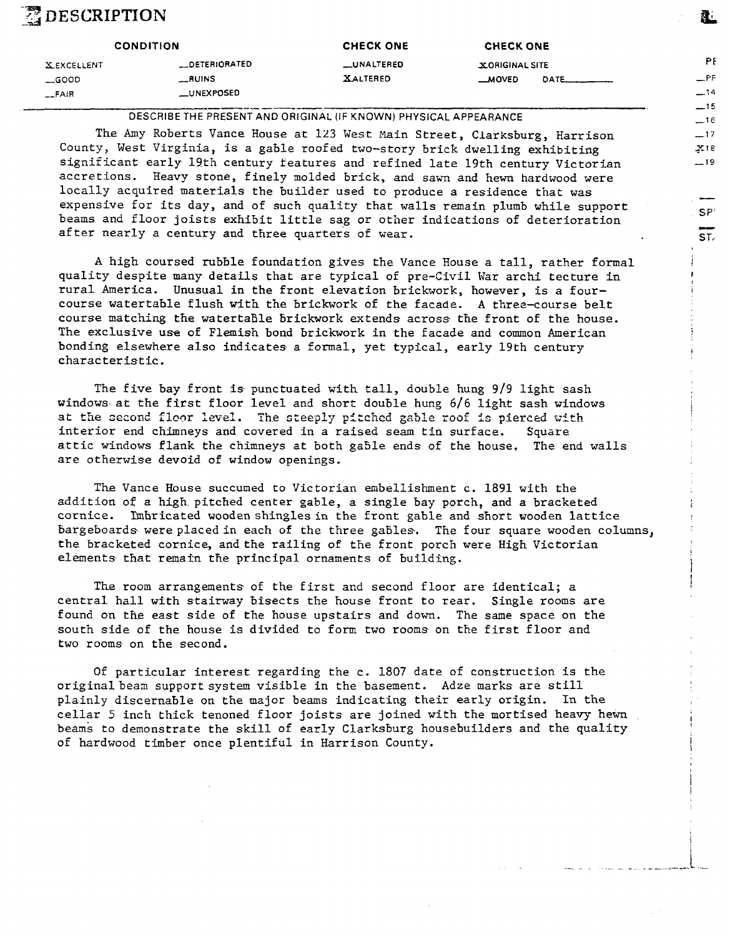## $\mathbb Z$  description

| <b>CONDITION</b>                                          |                                                     | <b>CHECK ONE</b>              | <b>CHECK ONE</b>                |      |
|-----------------------------------------------------------|-----------------------------------------------------|-------------------------------|---------------------------------|------|
| <b>XEXCELLENT</b><br>$\equiv$ GOOD<br>$-FA$ <sub>iR</sub> | <b>_DETERIORATED</b><br><b>RUINS</b><br>__UNEXPOSED | _UNALTERED<br><b>XALTERED</b> | X ORIGINAL SITE<br><b>MOVED</b> | DATE |

------- **DESCRIBE THE PRESENT AND ORIGINAL (IF KNOWN) PHYSICAL APPEARANCE** 

**The Amy** Roberts Vance House at 123 West Main Street, Clarksburg, Harrison County, West Virginia, is a gable roofed two-story brick dwelling exhibiting significant early 19th century teatures and refined late 19th century Victorian accretions. Heavy stone, finely molded brick, and sawn and hewn hardwood were locally acquired materials the builder used to produce a residence that was expensive for its day, and of such quality that walls remain plumb while support beams and floor joists exhibit little sag or other indications of deterioration after nearly a century and three quarters of wear.

**A** high coursed rubble foundation gives the Vance House a tall, rather formal quality despite many details that are typical of pre-Civil War archi tecture in rural America. Unusual in the front elevation brickwork, however, is a fourcourse watertable flush with the brickwork of the facade. A three-course belt course matching the watertaBle brickwork extends across the front of the house. The exclusive use of Flemish bond brickwork in the facade and common American bonding elsewhere also indicates a formal, yet typical, early 19th century characteristic.

The five bay front is punctuated with tall, double hung 9/9 light sash windows at the first floor level and short double hung *6/6* light sash windows at the second floor level. The steeply pitched gable roof is pierced with interior end chimneys and covered in a raised seam tin surface. Square attic windows flank the chimneys at both ga5le ends of the house. The end walls are otherwise devoid of window openings.

**The** Vance House succumed to Victorian embellishment c. 1891 with the addition of a high pitched center gable, a single bay porch, and a bracketed cornice. Imhricated wooden shingles in the front gable and short wooden lattice bargeboards were placed in each of the three gables. The four square wooden columns, the bracketed cornice, and the railing of the front porch were High Victorian elements that remain the principal ornaments of building.

The room arrangements of the first and second floor are identical; a central hall with stairway bisects the house front to rear. Single rooms are found on the east side of the house upstairs and down. The same space on the south side of the house is divided to form two rooms on the first floor and two rooms on the second.

Of particular interest regarding the c. 1807 date of construction is the original bean support system visible in the basement. Adze marks are still plainly discernable on the major beams indicating their early origin. In the cellar *5* inch thick tenoned floor joists are joined with the mortised heavy hewn beams to demonstrate the skill of early Clarksburg housebuilders and the quality of hardwood timber once plentiful in Harrison County.

P <sup>F</sup> - **P** F **-14 -15** 

&

**-1** 6 **-17** 

**ST,** 

1 **I 1** 

**i** 

i !

! 1

i i

i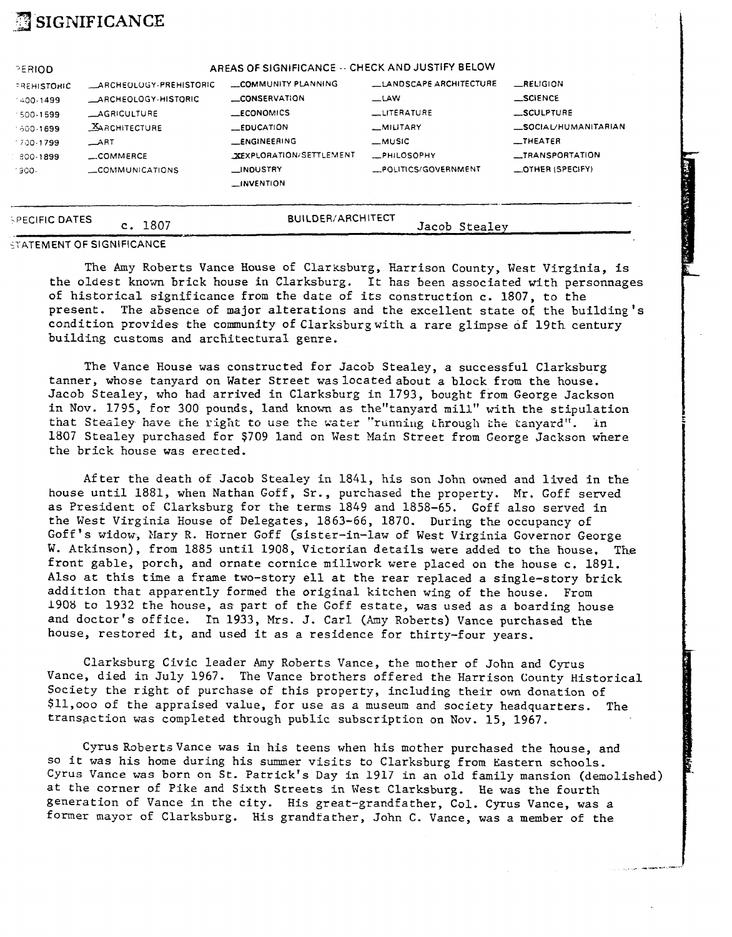# **-3 SIGNIFICANCE**

| PERIOD               |                            | AREAS OF SIGNIFICANCE -- CHECK AND JUSTIFY BELOW |                               |                         |
|----------------------|----------------------------|--------------------------------------------------|-------------------------------|-------------------------|
| PREHISTORIC          | ARCHEOLOGY-PREHISTORIC     | COMMUNITY PLANNING                               | <b>LANDSCAPE ARCHITECTURE</b> | RELIGION                |
| 400.1499             | <b>ARCHEOLOGY-HISTORIC</b> | <b>CONSERVATION</b>                              | $\equiv$ LAW                  | <b>SCIENCE</b>          |
| $-500 - 1599$        | <b>AGRICULTURE</b>         | <b>LECONOMICS</b>                                | <b>LITERATURE</b>             | $-$ SCULPTURE           |
| $-600 - 1699$        | <b>XARCHITECTURE</b>       | LEDUCATION                                       | -MILITARY                     | SOCIAL/HUMANITARIAN     |
| $-700 - 1799$        | $\equiv$ ART               | <b>ENGINEERING</b>                               | __MUSIC                       | $\equiv$ THEATER        |
| 800-1899             | $\equiv$ COMMERCE          | <b>XEXPLORATION/SETTLEMENT</b>                   | -PHILOSOPHY                   | <b>__TRANSPORTATION</b> |
| 1900-                | COMMUNICATIONS             | __INDUSTRY<br><b>LINVENTION</b>                  | _POLITICS/GOVERNMENT          | _OTHER (SPECIFY)        |
|                      |                            |                                                  |                               |                         |
| <b>PECIFIC DATES</b> | c. 1807                    | <b>BUILDER/ARCHITECT</b>                         | Jacob Stealey                 |                         |

#### **STATEMENT OF SIGNIFICANCE**

The Amy Roberts Vance House of Clarksburg, Harrison County, West Virginia, is the oldest known brick house in Clarksburg. It has been associated with personnages of historical significance from the date of its construction c. 1807, to the present. The absence of major alterations and the excellent state of the building's condition provides the community of Clarksburg with a rare glimpse of 19th century building customs and architectural genre.

છે અને પ્રાપ્ત અને દૂધ મુખ્ય પ્રાપ્ત કરી છે.<br>જે તમને પ્રાપ્ત કરી છે કે તમને પ્રાપ્ત કરી છે.

The Vance House was constructed for Jacob Stealey, a successful Clarksburg tanner, whose tanyard on Water Street was located about a block from the house. Jacob Stealey, who had arrived in Clarksburg in 1793, bought from George Jackson<br>in Nov. 1795, for 300 pounds, land known as the"tanyard mill" with the stipulation that Stealey have the right to use the water "running through the tanyard". In 1807 Stealey purchased for \$709 land on West Main Street from George Jackson where the brick house was erected.

After the death of Jacob Stealey in 1841, his son John owned and lived in the house until 1881, when Nathan Goff, Sr., purchased the property. Mr. Goff served as President of Clarksburg for the terms 1849 and 1858-65. Goff also served in the West Virginia House of Delegates, 1863-66, 1870. During the occupancy of Goff's widow, Nary R. Horner Goff (sister-in-law of West Virginia Governor George W. Atkinson), from 1885 until 1908, Victorian details were added to the house, The front gable, porch, and ornate cornice millwork were placed on the house c. 1891. Also at this time a frame two-story ell at the rear replaced a single-story brick addition that apparently formed the original kitchen wing of the house. From 1908 to 1932 the house, as part of the Goff estate, was used as a boarding house and doctor's office. In 1933, Mrs. J. Carl (Amy Roberts) Vance purchased the house, restored it, and used it as a residence for thirty-four years.

Clarksburg Civic leader Amy Roberts Vance, the mother of John and Cyrus Vance, died in July 1967. The Vance brothers offered the Harrison County Historical Society the right of purchase of this property, including their own donation of \$11,000 of the appraised value, for use as a museum and society headquarters. The transaction was completed through public subscription on Nov. 15, 1967.

Cyrus Roberts Vance was in his teens when his mother purchased the house, and so it was his home during his summer visits to Clarksburg from Eastern schools. Cyrus Vance was born on St. Patrick's Day in 1917 in an old family mansion (demolished) at the corner of Pike and Sixth Streets in Vest Clarksburg. He was the fourth generation of Vance in the city. His great-grandfather, Col. Cyrus Vance, was a former mayor of Clarksburg. His grandfather, John C. Vance, was a member of the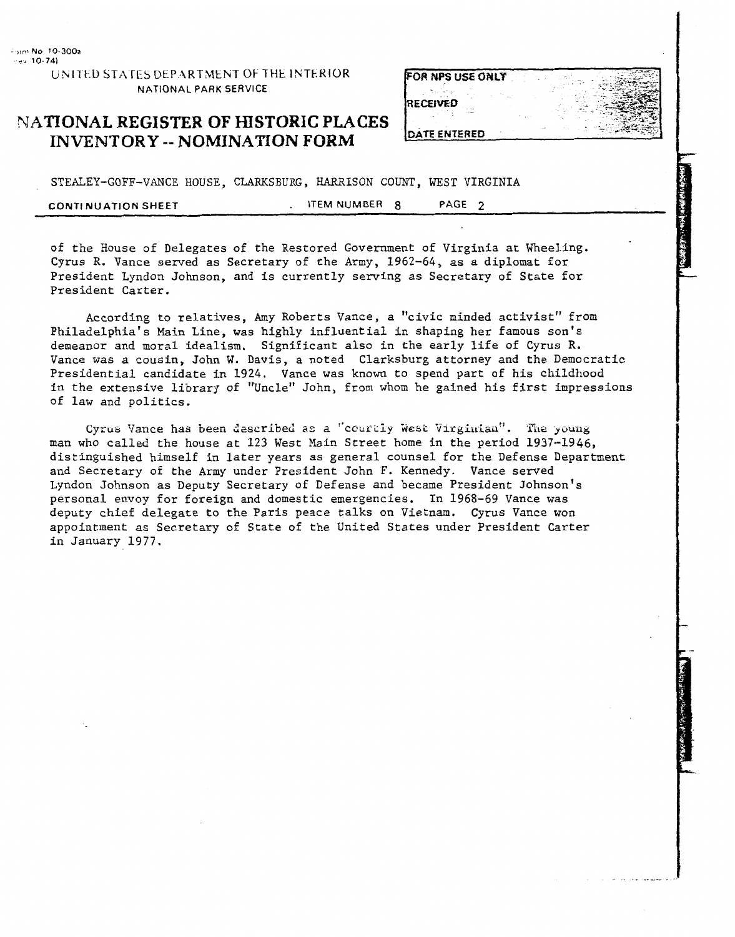UNITED STATES DEPARTMENT OF THE INTERIOR NATIONAL PARK SERVICE

### NATIONAL REGISTER OF HISTORIC PLACES **INVENTORY -- NOMINATION FORM**

| FOR NPS USE ONLY |  |  |
|------------------|--|--|
|                  |  |  |
| <b>IRECEIVED</b> |  |  |
| DATE ENTERED     |  |  |

STEALEY-GOFF-VANCE HOUSE, CLARKSBURG, HARRISON COUNT, WEST VIRGINIA

**CONTl NUATION** SHEET . **ITEM NUMBER 8 PAGE 2** 

of the House of Delegates of the Restored Government of Virginia at Wheeling. Cyrus R. Vance served as Secretary of the Army, 1962-64, as a diplomat for President Lyndon Johnson, and is currently serving as Secretary of State for President Carter.

According to relatives, Amy Roberts Vance, a "civic minded activist" from Philadelphia's Main Line, was highly influential in shaping her famous son's demeanor and moral idealism. Significant also in the early life of Cyrus R. Vance was a cousin, John W. Davis, a noted Clarksburg attorney and the Democratic Presidential candidate in 1924. Vance was known to spend part of his childhood in the extensive library of "Uncle" John, from whom he gained his first impressions of law and politics.

Cyrus Vance has been described as a "courtly West Virginian". The young man who called the house at 123 West Main Street home in the period 1937-1946, distinguished himself in later years as general counsel for the Defense Department and Secretary of the Army under President John F. Kennedy. Vance served Lyndon Johnson as Deputy Secretary of Defense and became President Johnson's personal envoy for foreign and domestic emergencies. In 1968-69 Vance was deputy chief delegate to the Paris peace talks on Vietnam. Cyrus Vance won appointment as Secretary of State of the United States under President Carter in January 1977.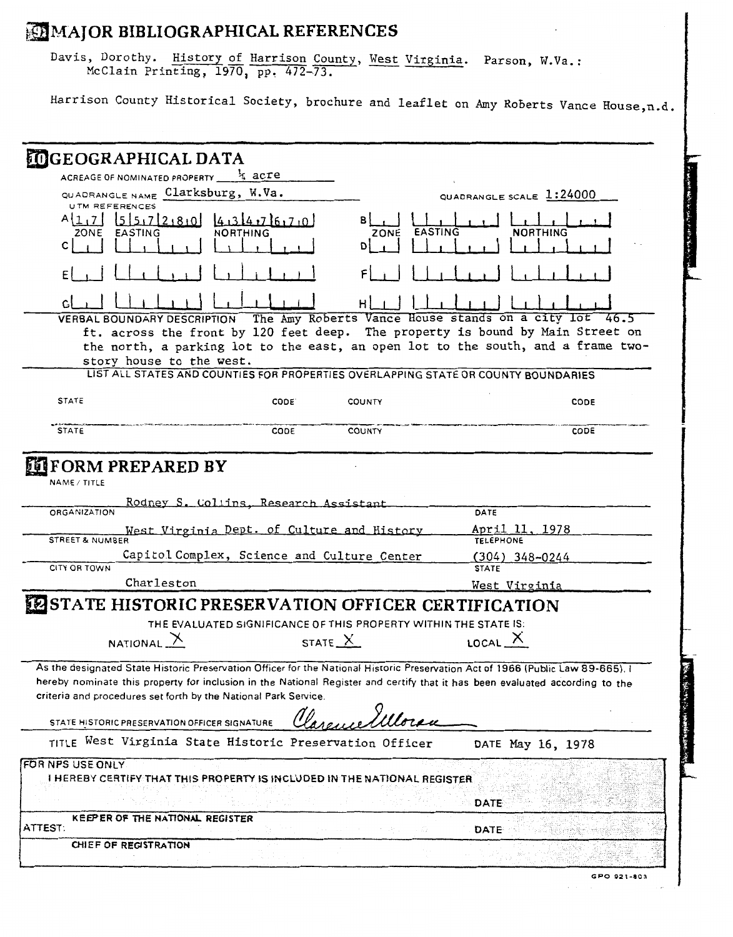### **\$a MAJOR BIBLIOGRAPHICAL REFERENCES**

|                                                                | <b>EMMAJOR BIBLIOGRAPHICAL REFERENCES</b>                                                                        |                 |                                                                                                                                                                                                                                                                 |  |
|----------------------------------------------------------------|------------------------------------------------------------------------------------------------------------------|-----------------|-----------------------------------------------------------------------------------------------------------------------------------------------------------------------------------------------------------------------------------------------------------------|--|
|                                                                | Davis, Dorothy. History of Harrison County, West Virginia. Parson, W.Va.:<br>McClain Printing, 1970, pp. 472-73. |                 |                                                                                                                                                                                                                                                                 |  |
|                                                                |                                                                                                                  |                 | Harrison County Historical Society, brochure and leaflet on Amy Roberts Vance House, n.d.                                                                                                                                                                       |  |
|                                                                |                                                                                                                  |                 |                                                                                                                                                                                                                                                                 |  |
| <b>MIGEOGRAPHICAL DATA</b>                                     | ACREAGE OF NOMINATED PROPERTY $\frac{1}{4}$ acre                                                                 |                 |                                                                                                                                                                                                                                                                 |  |
|                                                                | QUADRANGLE NAME Clarksburg, W.Va.                                                                                |                 | QUADRANGLE SCALE 1:24000                                                                                                                                                                                                                                        |  |
| <b>UTM REFERENCES</b><br>557280<br>A11.71<br>ZONE EASTING<br>с | 4,34,76,70<br>NORTHING                                                                                           | EASTING<br>ZONE | <b>NORTHING</b>                                                                                                                                                                                                                                                 |  |
|                                                                |                                                                                                                  |                 |                                                                                                                                                                                                                                                                 |  |
|                                                                |                                                                                                                  |                 |                                                                                                                                                                                                                                                                 |  |
| <b>VERBAL BOUNDARY DESCRIPTION</b>                             | story house to the west.                                                                                         |                 | The Amy Roberts Vance House stands on a city lot<br>46.5<br>ft. across the front by 120 feet deep. The property is bound by Main Street on<br>the north, a parking lot to the east, an open lot to the south, and a frame two-                                  |  |
|                                                                | LIST ALL STATES AND COUNTIES FOR PROPERTIES OVERLAPPING STATE OR COUNTY BOUNDARIES                               |                 |                                                                                                                                                                                                                                                                 |  |
| <b>STATE</b>                                                   | CODE <sup>.</sup>                                                                                                | COUNTY          | <b>CODE</b>                                                                                                                                                                                                                                                     |  |
|                                                                |                                                                                                                  |                 |                                                                                                                                                                                                                                                                 |  |
| <b>STATE</b>                                                   | CODE                                                                                                             | <b>COUNTY</b>   | CODE                                                                                                                                                                                                                                                            |  |
| NAME / TITLE                                                   |                                                                                                                  |                 |                                                                                                                                                                                                                                                                 |  |
| ORGANIZATION                                                   | Rodney S. Collins, Research Assistant                                                                            |                 | DATE                                                                                                                                                                                                                                                            |  |
| STREET & NUMBER                                                | West Virginia Dept. of Culture and History                                                                       |                 | April 11, 1978<br>TELEPHONE                                                                                                                                                                                                                                     |  |
|                                                                | Capitol Complex, Science and Culture Center                                                                      |                 | $(304)$ 348-0244                                                                                                                                                                                                                                                |  |
| CITY OR TOWN                                                   |                                                                                                                  |                 | <b>STATE</b>                                                                                                                                                                                                                                                    |  |
|                                                                | Charleston                                                                                                       |                 | <u>West Virginia</u>                                                                                                                                                                                                                                            |  |
|                                                                | ESTATE HISTORIC PRESERVATION OFFICER CERTIFICATION                                                               |                 |                                                                                                                                                                                                                                                                 |  |
|                                                                | THE EVALUATED SIGNIFICANCE OF THIS PROPERTY WITHIN THE STATE IS:                                                 |                 |                                                                                                                                                                                                                                                                 |  |
| <b>IT FORM PREPARED BY</b><br>NATIONAL $\lambda$               |                                                                                                                  | STATE $X$       | LOCAL X                                                                                                                                                                                                                                                         |  |
|                                                                | criteria and procedures set forth by the National Park Service.                                                  |                 | As the designated State Historic Preservation Officer for the National Historic Preservation Act of 1966 (Public Law 89-665), I<br>hereby nominate this property for inclusion in the National Register and certify that it has been evaluated according to the |  |
|                                                                | STATE HISTORIC PRESERVATION OFFICER SIGNATURE                                                                    |                 |                                                                                                                                                                                                                                                                 |  |
|                                                                | TITLE West Virginia State Historic Preservation Officer                                                          |                 | DATE May 16, 1978                                                                                                                                                                                                                                               |  |
|                                                                | I HEREBY CERTIFY THAT THIS PROPERTY IS INCLUDED IN THE NATIONAL REGISTER                                         |                 |                                                                                                                                                                                                                                                                 |  |
|                                                                |                                                                                                                  |                 | DATE                                                                                                                                                                                                                                                            |  |
| FOR NPS USE ONLY                                               | KEEPER OF THE NATIONAL REGISTER                                                                                  |                 |                                                                                                                                                                                                                                                                 |  |
| ATTEST:<br>CHIEF OF REGISTRATION                               |                                                                                                                  |                 | <b>DATE</b>                                                                                                                                                                                                                                                     |  |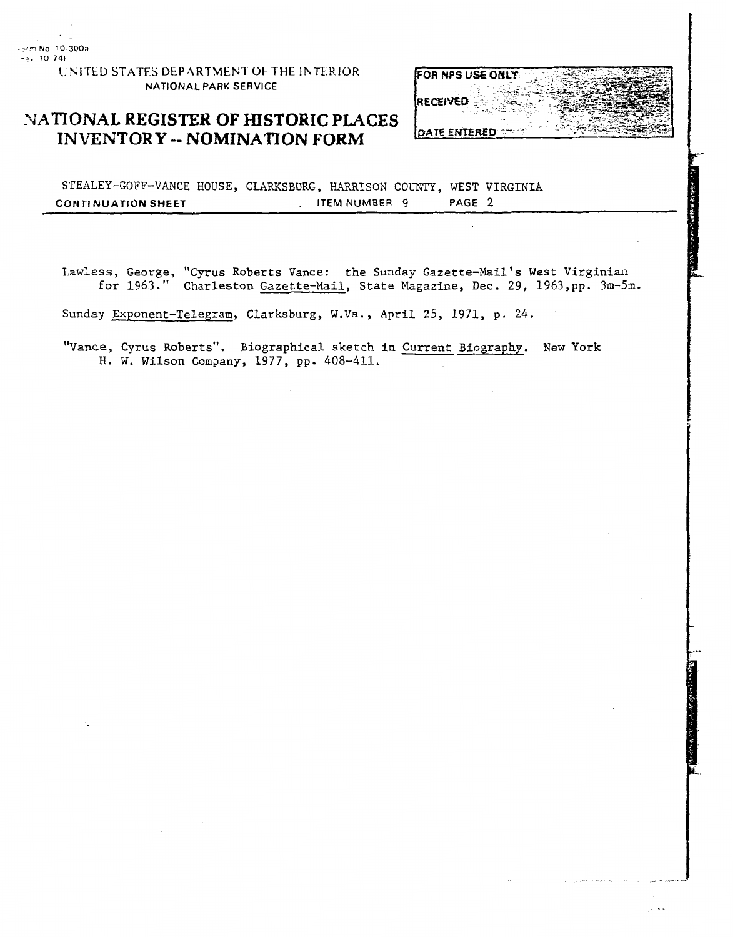L \ITEL) **STATES** DEP.ARTMENT **OF THE** IhTEKIOR **NATIONAL PARK SERVICE** 

### **PATIONAL REGISTER OF HISTORIC PLACES INVENTORY** -- **NOMINATION FORM**



STEALEY-GOFF-VANCE HOUSE, CLARKSBURG, HARRISON COUNTY, WEST VIRGINIA **CONTINUATION SHEET .** ITEM NUMBER 9 PAGE 2

Lawless, George, "Cyrus Roberts Vance: the Sunday Gazette-Mail's West Virginian for 1963." Charleston Gazette-Nail, State Magazine, Dec. 29, 1963,pp. 3m-5m.

Sunday Exponent-Telegram, Clarksburg, W.Va., April 25, 1971, p. 24.

"Vance, Cyrus Roberts". Biographical sketch in Current Biography. New York H. W. Wilson Company, 1977, pp. 408-411.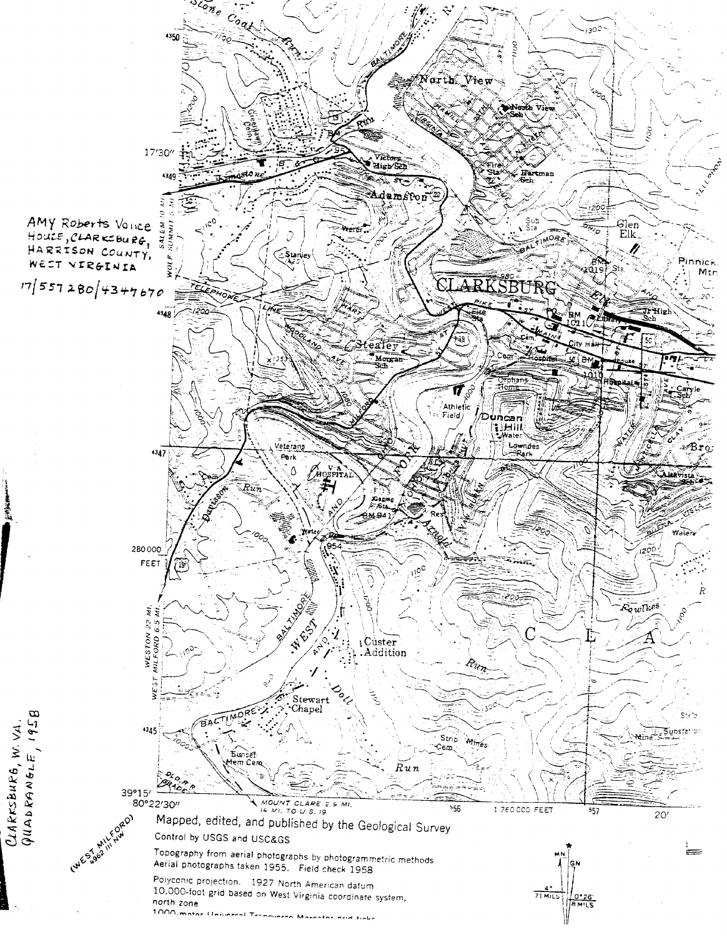